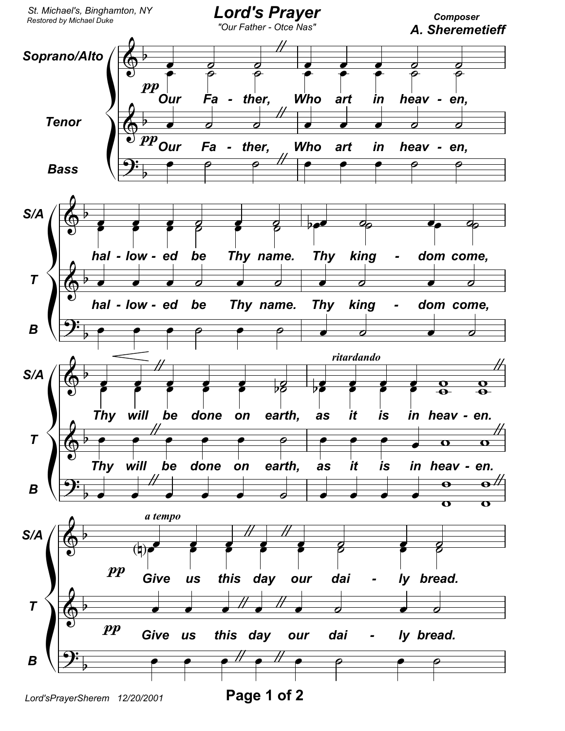